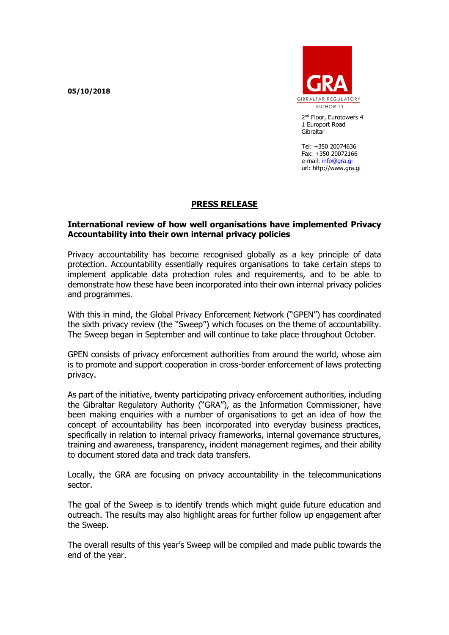**05/10/2018**



2<sup>nd</sup> Floor, Eurotowers 4 1 Europort Road **Gibraltar** 

Tel: +350 20074636 Fax: +350 20072166 e-mail: [info@gra.gi](mailto:info@gra.gi) url: http://www.gra.gi

## **PRESS RELEASE**

## **International review of how well organisations have implemented Privacy Accountability into their own internal privacy policies**

Privacy accountability has become recognised globally as a key principle of data protection. Accountability essentially requires organisations to take certain steps to implement applicable data protection rules and requirements, and to be able to demonstrate how these have been incorporated into their own internal privacy policies and programmes.

With this in mind, the Global Privacy Enforcement Network ("GPEN") has coordinated the sixth privacy review (the "Sweep") which focuses on the theme of accountability. The Sweep began in September and will continue to take place throughout October.

GPEN consists of privacy enforcement authorities from around the world, whose aim is to promote and support cooperation in cross-border enforcement of laws protecting privacy.

As part of the initiative, twenty participating privacy enforcement authorities, including the Gibraltar Regulatory Authority ("GRA"), as the Information Commissioner, have been making enquiries with a number of organisations to get an idea of how the concept of accountability has been incorporated into everyday business practices, specifically in relation to internal privacy frameworks, internal governance structures, training and awareness, transparency, incident management regimes, and their ability to document stored data and track data transfers.

Locally, the GRA are focusing on privacy accountability in the telecommunications sector.

The goal of the Sweep is to identify trends which might guide future education and outreach. The results may also highlight areas for further follow up engagement after the Sweep.

The overall results of this year's Sweep will be compiled and made public towards the end of the year.